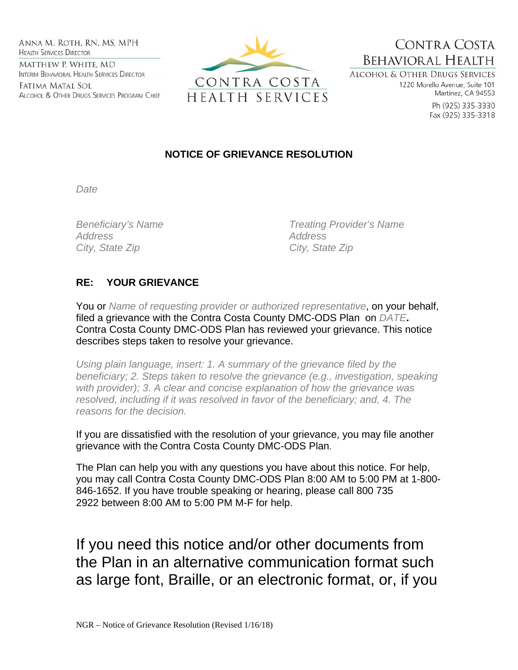Anna M. Roth, RN, MS, MPH **HEALTH SERVICES DIRECTOR** MATTHEW P. WHITE, MD INTERIM BEHAVIORAL HEALTH SERVICES DIRECTOR

Fatima Matal Sol ALCOHOL & OTHER DRUGS SERVICES PROGRAM CHIEF



CONTRA COSTA **BEHAVIORAL HEALTH** ALCOHOL & OTHER DRUGS SERVICES

1220 Morello Avenue, Suite 101 Martinez, CA 94553

> Ph (925) 335-3330 Fax (925) 335-3318

## **NOTICE OF GRIEVANCE RESOLUTION**

*Date* 

*Address Address*  City, State Zip **City**, State Zip

*Beneficiary's Name Treating Provider's Name* 

## **RE: YOUR GRIEVANCE**

You or *Name of requesting provider or authorized representative*, on your behalf, filed a grievance with the Contra Costa County DMC-ODS Plan on *DATE***.**  Contra Costa County DMC-ODS Plan has reviewed your grievance. This notice describes steps taken to resolve your grievance.

*Using plain language, insert: 1. A summary of the grievance filed by the beneficiary; 2. Steps taken to resolve the grievance (e.g., investigation, speaking with provider); 3. A clear and concise explanation of how the grievance was resolved, including if it was resolved in favor of the beneficiary; and, 4. The reasons for the decision.* 

If you are dissatisfied with the resolution of your grievance, you may file another grievance with the Contra Costa County DMC-ODS Plan.

The Plan can help you with any questions you have about this notice. For help, you may call Contra Costa County DMC-ODS Plan 8:00 AM to 5:00 PM at 1-800- 846-1652. If you have trouble speaking or hearing, please call 800 735 2922 between 8:00 AM to 5:00 PM M-F for help.

If you need this notice and/or other documents from the Plan in an alternative communication format such as large font, Braille, or an electronic format, or, if you